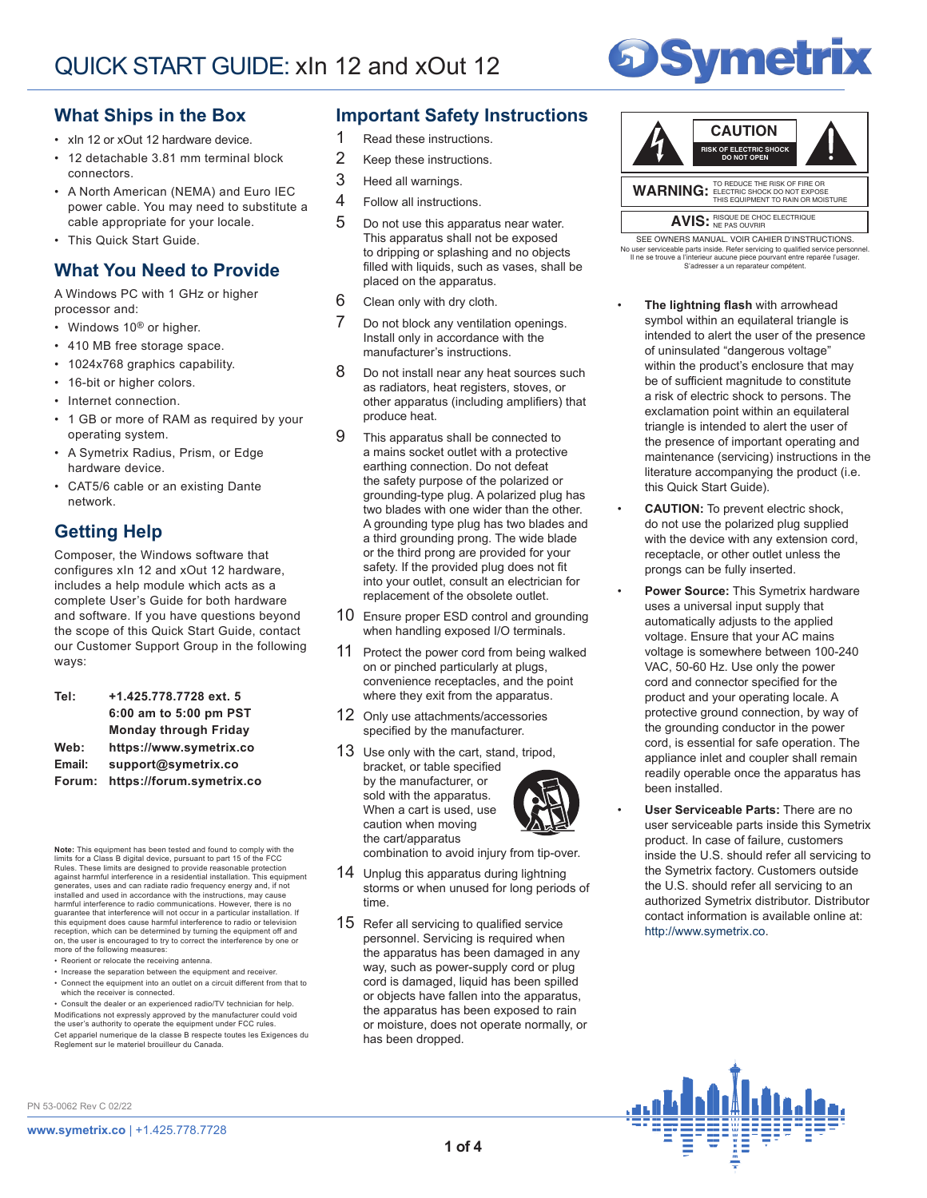

## **What Ships in the Box**

- xIn 12 or xOut 12 hardware device.
- 12 detachable 3.81 mm terminal block connectors.
- A North American (NEMA) and Euro IEC power cable. You may need to substitute a cable appropriate for your locale.
- This Quick Start Guide.

## **What You Need to Provide**

A Windows PC with 1 GHz or higher processor and:

- Windows 10<sup>®</sup> or higher.
- 410 MB free storage space.
- 1024x768 graphics capability.
- 16-bit or higher colors.
- Internet connection.
- 1 GB or more of RAM as required by your operating system.
- A Symetrix Radius, Prism, or Edge hardware device.
- CAT5/6 cable or an existing Dante network.

## **Getting Help**

Composer, the Windows software that configures xIn 12 and xOut 12 hardware, includes a help module which acts as a complete User's Guide for both hardware and software. If you have questions beyond the scope of this Quick Start Guide, contact our Customer Support Group in the following ways:

| Tel:   | +1.425.778.7728 ext. 5       |  |
|--------|------------------------------|--|
|        | 6:00 am to 5:00 pm PST       |  |
|        | <b>Monday through Friday</b> |  |
| Web:   | https://www.symetrix.co      |  |
| Email: | support@symetrix.co          |  |
| Forum: | https://forum.symetrix.co    |  |

**Note:** This equipment has been tested and found to comply with the<br>limits for a Class B digital device, pursuant to part 15 of the FCC<br>Rules. These limits are designed to provide reasonable protection against harmful interference in a residential installation. This equipment generates, uses and can radiate radio frequency energy and, if not installed and used in accordance with the instructions, may cause harmful interference to radio communications. However, there is no guarantee that interference will not occur in a particular installation. If<br>this equipment does cause harmful interference to radio or television<br>reception, which can be determined by turning the equipment off and on, the user is encouraged to try to correct the interference by one or more of the following measures:

- Reorient or relocate the receiving antenna.
- Increase the separation between the equipment and receiver. • Connect the equipment into an outlet on a circuit different from that to which the receiver is connected.

• Consult the dealer or an experienced radio/TV technician for help. Modifications not expressly approved by the manufacturer could void the user's authority to operate the equipment under FCC rules. Cet appariel numerique de la classe B respecte toutes les Exigences du Reglement sur le materiel brouilleur du Canada.

## **Important Safety Instructions**

- 1 Read these instructions.
- 2 Keep these instructions.
- 3 Heed all warnings.
- 4 Follow all instructions.
- 5 Do not use this apparatus near water. This apparatus shall not be exposed to dripping or splashing and no objects filled with liquids, such as vases, shall be placed on the apparatus.
- 6 Clean only with dry cloth.
- 7 Do not block any ventilation openings. Install only in accordance with the manufacturer's instructions.
- 8 Do not install near any heat sources such as radiators, heat registers, stoves, or other apparatus (including amplifiers) that produce heat.
- 9 This apparatus shall be connected to a mains socket outlet with a protective earthing connection. Do not defeat the safety purpose of the polarized or grounding-type plug. A polarized plug has two blades with one wider than the other. A grounding type plug has two blades and a third grounding prong. The wide blade or the third prong are provided for your safety. If the provided plug does not fit into your outlet, consult an electrician for replacement of the obsolete outlet.
- 10 Ensure proper ESD control and grounding when handling exposed I/O terminals.
- 11 Protect the power cord from being walked on or pinched particularly at plugs, convenience receptacles, and the point where they exit from the apparatus.
- 12 Only use attachments/accessories specified by the manufacturer.
- 13 Use only with the cart, stand, tripod, bracket, or table specified by the manufacturer, or sold with the apparatus. When a cart is used, use caution when moving the cart/apparatus



combination to avoid injury from tip-over.

- 14 Unplug this apparatus during lightning storms or when unused for long periods of time.
- 15 Refer all servicing to qualified service personnel. Servicing is required when the apparatus has been damaged in any way, such as power-supply cord or plug cord is damaged, liquid has been spilled or objects have fallen into the apparatus, the apparatus has been exposed to rain or moisture, does not operate normally, or has been dropped.



No user serviceable parts inside. Refer servicing to qualified service personnel.<br>Il ne se trouve a l'interieur aucune piece pourvant entre reparée l'usager. SEE OWNERS MANUAL. VOIR CAHIER D'INSTRUCTIONS. S'adresser a un reparateur compétent.

- **The lightning flash** with arrowhead symbol within an equilateral triangle is intended to alert the user of the presence of uninsulated "dangerous voltage" within the product's enclosure that may be of sufficient magnitude to constitute a risk of electric shock to persons. The exclamation point within an equilateral triangle is intended to alert the user of the presence of important operating and maintenance (servicing) instructions in the literature accompanying the product (i.e. this Quick Start Guide).
- **CAUTION:** To prevent electric shock, do not use the polarized plug supplied with the device with any extension cord, receptacle, or other outlet unless the prongs can be fully inserted.
- **Power Source:** This Symetrix hardware uses a universal input supply that automatically adjusts to the applied voltage. Ensure that your AC mains voltage is somewhere between 100-240 VAC, 50-60 Hz. Use only the power cord and connector specified for the product and your operating locale. A protective ground connection, by way of the grounding conductor in the power cord, is essential for safe operation. The appliance inlet and coupler shall remain readily operable once the apparatus has been installed.
- **User Serviceable Parts:** There are no user serviceable parts inside this Symetrix product. In case of failure, customers inside the U.S. should refer all servicing to the Symetrix factory. Customers outside the U.S. should refer all servicing to an authorized Symetrix distributor. Distributor contact information is available online at: http://www.symetrix.co.



PN 53-0062 Rev C 02/22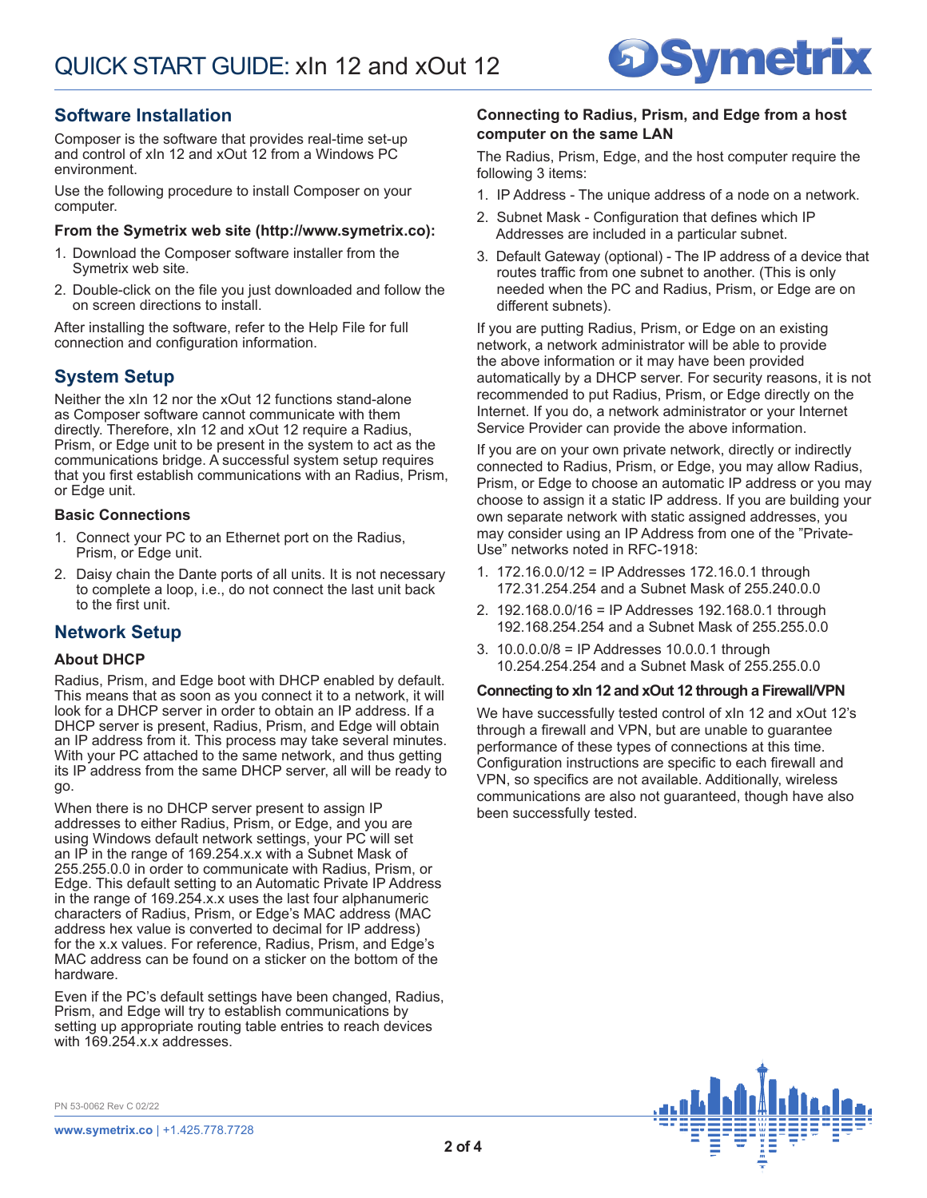

## **Software Installation**

Composer is the software that provides real-time set-up and control of xIn 12 and xOut 12 from a Windows PC environment.

Use the following procedure to install Composer on your computer.

#### **From the Symetrix web site (http://www.symetrix.co):**

- 1. Download the Composer software installer from the Symetrix web site.
- 2. Double-click on the file you just downloaded and follow the on screen directions to install.

After installing the software, refer to the Help File for full connection and configuration information.

## **System Setup**

Neither the xIn 12 nor the xOut 12 functions stand-alone as Composer software cannot communicate with them directly. Therefore, xIn 12 and xOut 12 require a Radius, Prism, or Edge unit to be present in the system to act as the communications bridge. A successful system setup requires that you first establish communications with an Radius, Prism, or Edge unit.

### **Basic Connections**

- 1. Connect your PC to an Ethernet port on the Radius, Prism, or Edge unit.
- 2. Daisy chain the Dante ports of all units. It is not necessary to complete a loop, i.e., do not connect the last unit back to the first unit.

## **Network Setup**

#### **About DHCP**

Radius, Prism, and Edge boot with DHCP enabled by default. This means that as soon as you connect it to a network, it will look for a DHCP server in order to obtain an IP address. If a DHCP server is present, Radius, Prism, and Edge will obtain an IP address from it. This process may take several minutes. With your PC attached to the same network, and thus getting its IP address from the same DHCP server, all will be ready to go.

When there is no DHCP server present to assign IP addresses to either Radius, Prism, or Edge, and you are using Windows default network settings, your PC will set an IP in the range of 169.254.x.x with a Subnet Mask of 255.255.0.0 in order to communicate with Radius, Prism, or Edge. This default setting to an Automatic Private IP Address in the range of 169.254.x.x uses the last four alphanumeric characters of Radius, Prism, or Edge's MAC address (MAC address hex value is converted to decimal for IP address) for the x.x values. For reference, Radius, Prism, and Edge's MAC address can be found on a sticker on the bottom of the hardware.

Even if the PC's default settings have been changed, Radius, Prism, and Edge will try to establish communications by setting up appropriate routing table entries to reach devices with 169.254.x.x addresses.

#### **Connecting to Radius, Prism, and Edge from a host computer on the same LAN**

The Radius, Prism, Edge, and the host computer require the following 3 items:

- 1. IP Address The unique address of a node on a network.
- 2. Subnet Mask Configuration that defines which IP Addresses are included in a particular subnet.
- 3. Default Gateway (optional) The IP address of a device that routes traffic from one subnet to another. (This is only needed when the PC and Radius, Prism, or Edge are on different subnets).

If you are putting Radius, Prism, or Edge on an existing network, a network administrator will be able to provide the above information or it may have been provided automatically by a DHCP server. For security reasons, it is not recommended to put Radius, Prism, or Edge directly on the Internet. If you do, a network administrator or your Internet Service Provider can provide the above information.

If you are on your own private network, directly or indirectly connected to Radius, Prism, or Edge, you may allow Radius, Prism, or Edge to choose an automatic IP address or you may choose to assign it a static IP address. If you are building your own separate network with static assigned addresses, you may consider using an IP Address from one of the "Private-Use" networks noted in RFC-1918:

- 1. 172.16.0.0/12 = IP Addresses 172.16.0.1 through 172.31.254.254 and a Subnet Mask of 255.240.0.0
- 2. 192.168.0.0/16 = IP Addresses 192.168.0.1 through 192.168.254.254 and a Subnet Mask of 255.255.0.0
- 3. 10.0.0.0/8 = IP Addresses 10.0.0.1 through 10.254.254.254 and a Subnet Mask of 255.255.0.0

#### **Connecting to xIn 12 and xOut 12 through a Firewall/VPN**

We have successfully tested control of xIn 12 and xOut 12's through a firewall and VPN, but are unable to guarantee performance of these types of connections at this time. Configuration instructions are specific to each firewall and VPN, so specifics are not available. Additionally, wireless communications are also not guaranteed, though have also been successfully tested.



PN 53-0062 Rev C 02/22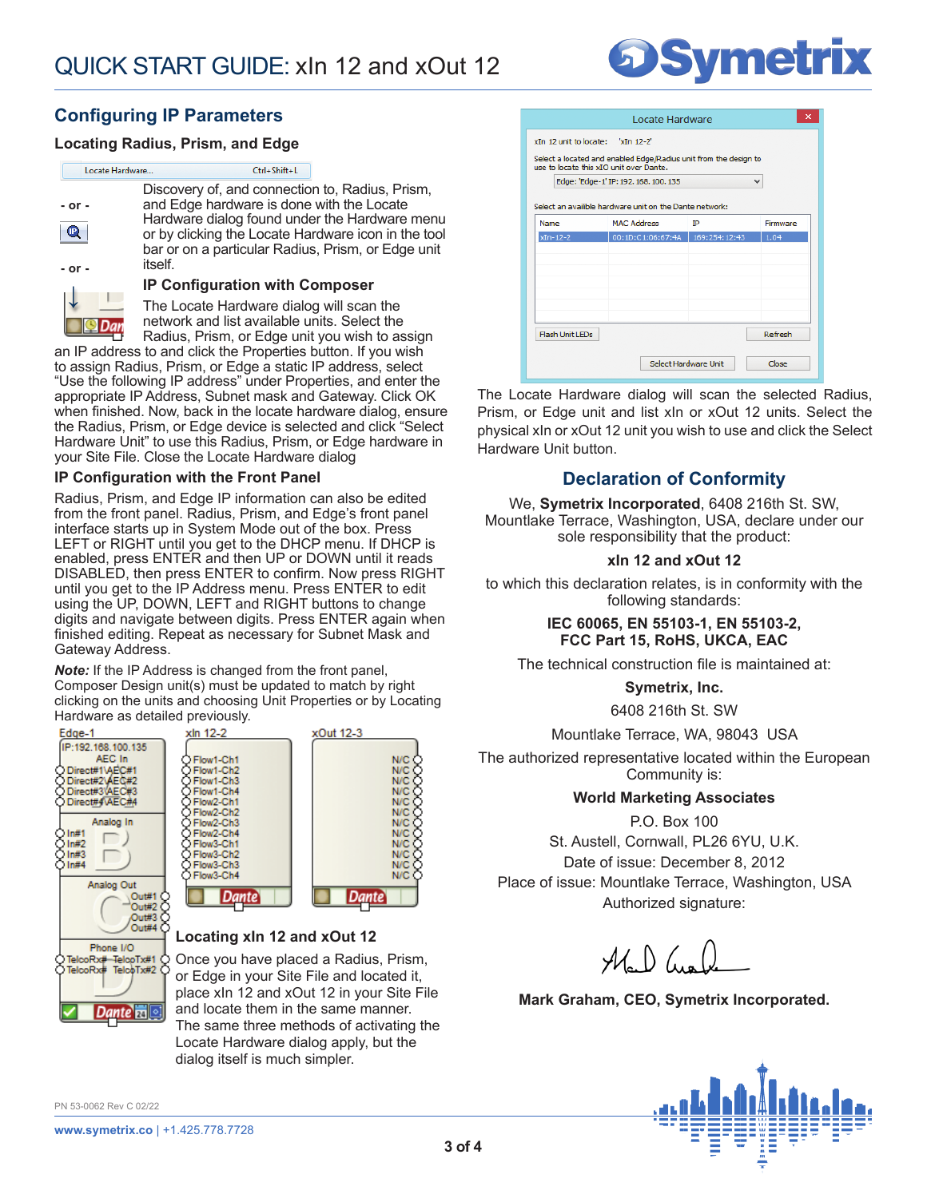# **DSymetrix**

## **Configuring IP Parameters**

<u>a Dan</u>

### **Locating Radius, Prism, and Edge**

| Locate Hardware | Ctrl+Shift+L                                                                                                                                                                                                                                               |
|-----------------|------------------------------------------------------------------------------------------------------------------------------------------------------------------------------------------------------------------------------------------------------------|
| - or -<br>Q     | Discovery of, and connection to, Radius, Prism,<br>and Edge hardware is done with the Locate<br>Hardware dialog found under the Hardware menu<br>or by clicking the Locate Hardware icon in the tool<br>bar or on a particular Radius, Prism, or Edge unit |
| - or -          | itself.<br><b>IP Configuration with Composer</b>                                                                                                                                                                                                           |
|                 | The Locate Hardware dialog will scan the                                                                                                                                                                                                                   |

The Locate Hardware dialog will scan the network and list available units. Select the Radius, Prism, or Edge unit you wish to assign

an IP address to and click the Properties button. If you wish to assign Radius, Prism, or Edge a static IP address, select "Use the following IP address" under Properties, and enter the appropriate IP Address, Subnet mask and Gateway. Click OK when finished. Now, back in the locate hardware dialog, ensure the Radius, Prism, or Edge device is selected and click "Select Hardware Unit" to use this Radius, Prism, or Edge hardware in your Site File. Close the Locate Hardware dialog

### **IP Configuration with the Front Panel**

Radius, Prism, and Edge IP information can also be edited from the front panel. Radius, Prism, and Edge's front panel interface starts up in System Mode out of the box. Press LEFT or RIGHT until you get to the DHCP menu. If DHCP is enabled, press ENTER and then UP or DOWN until it reads DISABLED, then press ENTER to confirm. Now press RIGHT until you get to the IP Address menu. Press ENTER to edit using the UP, DOWN, LEFT and RIGHT buttons to change digits and navigate between digits. Press ENTER again when finished editing. Repeat as necessary for Subnet Mask and Gateway Address.

*Note:* If the IP Address is changed from the front panel, Composer Design unit(s) must be updated to match by right clicking on the units and choosing Unit Properties or by Locating Hardware as detailed previously.

xln 12-2





#### **Locating xIn 12 and xOut 12**

Once you have placed a Radius, Prism, or Edge in your Site File and located it, place xIn 12 and xOut 12 in your Site File and locate them in the same manner. The same three methods of activating the Locate Hardware dialog apply, but the dialog itself is much simpler.

PN 53-0062 Rev C 02/22

| Locate Hardware                                                                                             |               |          |  |  |  |
|-------------------------------------------------------------------------------------------------------------|---------------|----------|--|--|--|
| xIn 12 unit to locate: 'xIn 12-2'                                                                           |               |          |  |  |  |
| Select a located and enabled Edge/Radius unit from the design to<br>use to locate this xIO unit over Dante. |               |          |  |  |  |
| Edge: 'Edge-1' IP: 192. 168. 100. 135<br>v                                                                  |               |          |  |  |  |
| Select an availible hardware unit on the Dante network:                                                     |               |          |  |  |  |
| <b>MAC Address</b>                                                                                          | īΡ            | Firmware |  |  |  |
| 00:1D:C1:06:67:4A                                                                                           | 169:254:12:43 | 1.04     |  |  |  |
|                                                                                                             |               |          |  |  |  |
|                                                                                                             |               |          |  |  |  |
|                                                                                                             |               |          |  |  |  |
|                                                                                                             |               |          |  |  |  |
|                                                                                                             |               |          |  |  |  |
|                                                                                                             |               |          |  |  |  |
|                                                                                                             |               | Refresh  |  |  |  |
|                                                                                                             |               |          |  |  |  |
| Select Hardware Unit<br>Close                                                                               |               |          |  |  |  |
|                                                                                                             |               |          |  |  |  |

The Locate Hardware dialog will scan the selected Radius, Prism, or Edge unit and list xIn or xOut 12 units. Select the physical xIn or xOut 12 unit you wish to use and click the Select Hardware Unit button.

## **Declaration of Conformity**

We, **Symetrix Incorporated**, 6408 216th St. SW, Mountlake Terrace, Washington, USA, declare under our sole responsibility that the product:

### **xIn 12 and xOut 12**

to which this declaration relates, is in conformity with the following standards:

#### **IEC 60065, EN 55103-1, EN 55103-2, FCC Part 15, RoHS, UKCA, EAC**

The technical construction file is maintained at:

**Symetrix, Inc.**

6408 216th St. SW

Mountlake Terrace, WA, 98043 USA

The authorized representative located within the European Community is:

#### **World Marketing Associates**

P.O. Box 100

St. Austell, Cornwall, PL26 6YU, U.K. Date of issue: December 8, 2012 Place of issue: Mountlake Terrace, Washington, USA Authorized signature:

 $\mathcal{H}_{\scriptscriptstyle{\circ}}\left(\right)$  (in (i)

**Mark Graham, CEO, Symetrix Incorporated.**